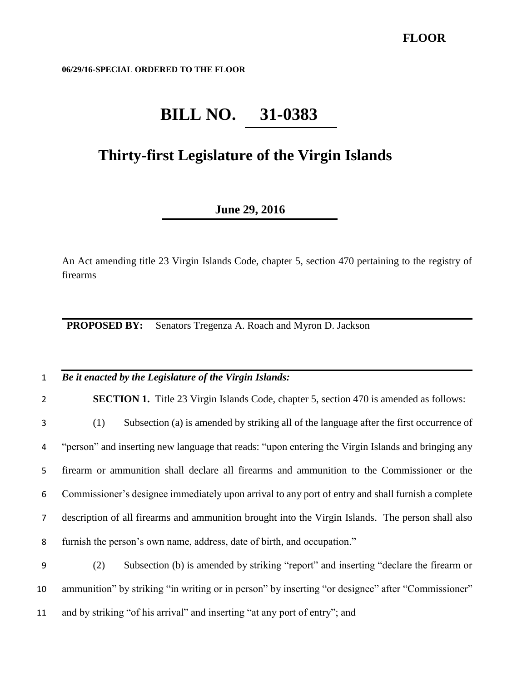**06/29/16-SPECIAL ORDERED TO THE FLOOR**

## **BILL NO. 31-0383**

## **Thirty-first Legislature of the Virgin Islands**

## **June 29, 2016**

An Act amending title 23 Virgin Islands Code, chapter 5, section 470 pertaining to the registry of firearms

**PROPOSED BY:** Senators Tregenza A. Roach and Myron D. Jackson

## 1 *Be it enacted by the Legislature of the Virgin Islands:*

2 **SECTION 1.** Title 23 Virgin Islands Code, chapter 5, section 470 is amended as follows:

 (1) Subsection (a) is amended by striking all of the language after the first occurrence of "person" and inserting new language that reads: "upon entering the Virgin Islands and bringing any firearm or ammunition shall declare all firearms and ammunition to the Commissioner or the Commissioner's designee immediately upon arrival to any port of entry and shall furnish a complete description of all firearms and ammunition brought into the Virgin Islands. The person shall also furnish the person's own name, address, date of birth, and occupation."

9 (2) Subsection (b) is amended by striking "report" and inserting "declare the firearm or 10 ammunition" by striking "in writing or in person" by inserting "or designee" after "Commissioner" 11 and by striking "of his arrival" and inserting "at any port of entry"; and